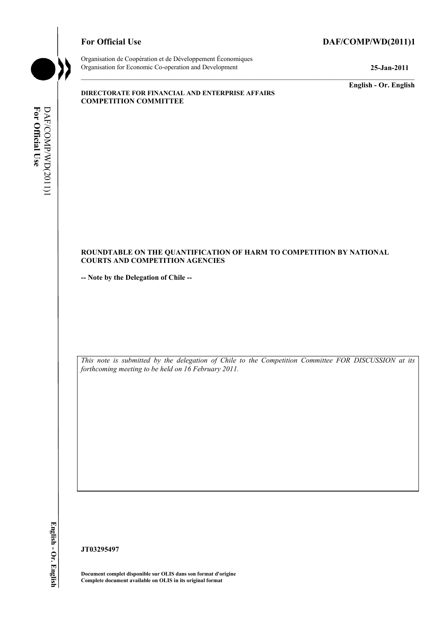# For Official Use DAF/COMP/WD(2011)1



Organisation de Coopération et de Développement Économiques Organisation for Economic Co-operation and Development **25-Jan-2011** 

**English - Or. English** 

#### **DIRECTORATE FOR FINANCIAL AND ENTERPRISE AFFAIRS COMPETITION COMMITTEE**

# For Official Use DAF/COMP/WD(2011)1 **For Official Use**  DAF/COMP/WD(2011)1

#### **ROUNDTABLE ON THE QUANTIFICATION OF HARM TO COMPETITION BY NATIONAL COURTS AND COMPETITION AGENCIES**

**-- Note by the Delegation of Chile --** 

*This note is submitted by the delegation of Chile to the Competition Committee FOR DISCUSSION at its forthcoming meeting to be held on 16 February 2011.* 

**JT03295497** 

**Document complet disponible sur OLIS dans son format d'origine Complete document available on OLIS in its original format**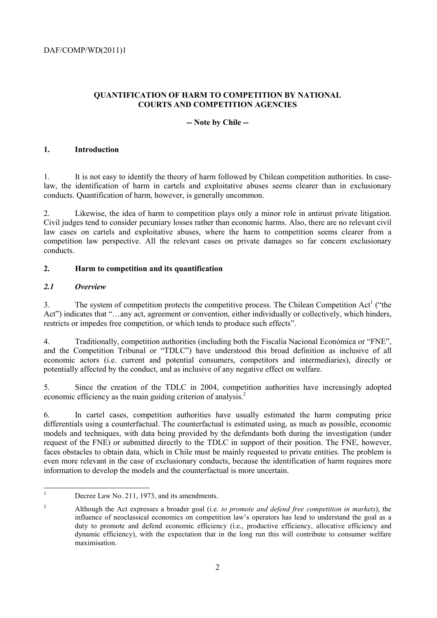# **QUANTIFICATION OF HARM TO COMPETITION BY NATIONAL COURTS AND COMPETITION AGENCIES**

# **-- Note by Chile --**

# **1. Introduction**

1. It is not easy to identify the theory of harm followed by Chilean competition authorities. In caselaw, the identification of harm in cartels and exploitative abuses seems clearer than in exclusionary conducts. Quantification of harm, however, is generally uncommon.

Likewise, the idea of harm to competition plays only a minor role in antirust private litigation. Civil judges tend to consider pecuniary losses rather than economic harms. Also, there are no relevant civil law cases on cartels and exploitative abuses, where the harm to competition seems clearer from a competition law perspective. All the relevant cases on private damages so far concern exclusionary conducts.

# **2. Harm to competition and its quantification**

#### *2.1 Overview*

3. The system of competition protects the competitive process. The Chilean Competition Act<sup>1</sup> ("the Act") indicates that "…any act, agreement or convention, either individually or collectively, which hinders, restricts or impedes free competition, or which tends to produce such effects".

4. Traditionally, competition authorities (including both the Fiscalía Nacional Económica or "FNE", and the Competition Tribunal or "TDLC") have understood this broad definition as inclusive of all economic actors (i.e. current and potential consumers, competitors and intermediaries), directly or potentially affected by the conduct, and as inclusive of any negative effect on welfare.

5. Since the creation of the TDLC in 2004, competition authorities have increasingly adopted economic efficiency as the main guiding criterion of analysis.<sup>2</sup>

6. In cartel cases, competition authorities have usually estimated the harm computing price differentials using a counterfactual. The counterfactual is estimated using, as much as possible, economic models and techniques, with data being provided by the defendants both during the investigation (under request of the FNE) or submitted directly to the TDLC in support of their position. The FNE, however, faces obstacles to obtain data, which in Chile must be mainly requested to private entities. The problem is even more relevant in the case of exclusionary conducts, because the identification of harm requires more information to develop the models and the counterfactual is more uncertain.

 $\frac{1}{1}$ Decree Law No. 211, 1973, and its amendments.

<sup>2</sup> Although the Act expresses a broader goal (i.e. *to promote and defend free competition in markets*), the influence of neoclassical economics on competition law's operators has lead to understand the goal as a duty to promote and defend economic efficiency (i.e., productive efficiency, allocative efficiency and dynamic efficiency), with the expectation that in the long run this will contribute to consumer welfare maximisation.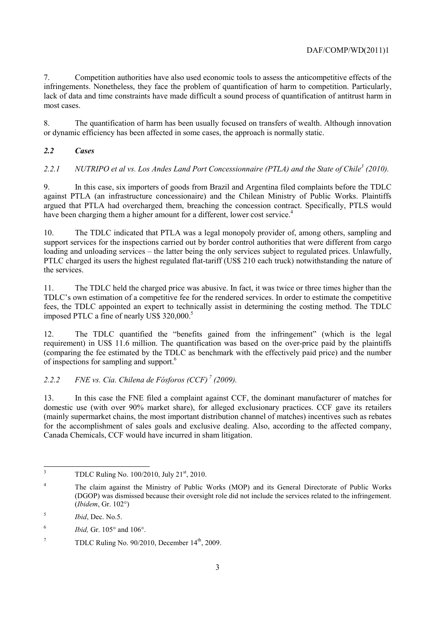7. Competition authorities have also used economic tools to assess the anticompetitive effects of the infringements. Nonetheless, they face the problem of quantification of harm to competition. Particularly, lack of data and time constraints have made difficult a sound process of quantification of antitrust harm in most cases.

8. The quantification of harm has been usually focused on transfers of wealth. Although innovation or dynamic efficiency has been affected in some cases, the approach is normally static.

# *2.2 Cases*

2.2.1 *NUTRIPO et al vs. Los Andes Land Port Concessionnaire (PTLA) and the State of Chile<sup>3</sup> (2010).* 

9. In this case, six importers of goods from Brazil and Argentina filed complaints before the TDLC against PTLA (an infrastructure concessionaire) and the Chilean Ministry of Public Works. Plaintiffs argued that PTLA had overcharged them, breaching the concession contract. Specifically, PTLS would have been charging them a higher amount for a different, lower cost service.<sup>4</sup>

10. The TDLC indicated that PTLA was a legal monopoly provider of, among others, sampling and support services for the inspections carried out by border control authorities that were different from cargo loading and unloading services – the latter being the only services subject to regulated prices. Unlawfully, PTLC charged its users the highest regulated flat-tariff (US\$ 210 each truck) notwithstanding the nature of the services.

11. The TDLC held the charged price was abusive. In fact, it was twice or three times higher than the TDLC's own estimation of a competitive fee for the rendered services. In order to estimate the competitive fees, the TDLC appointed an expert to technically assist in determining the costing method. The TDLC imposed PTLC a fine of nearly US\$ 320,000.<sup>5</sup>

12. The TDLC quantified the "benefits gained from the infringement" (which is the legal requirement) in US\$ 11.6 million. The quantification was based on the over-price paid by the plaintiffs (comparing the fee estimated by the TDLC as benchmark with the effectively paid price) and the number of inspections for sampling and support.<sup>6</sup>

# *2.2.2 FNE vs. Cía. Chilena de Fósforos (CCF) 7 (2009).*

13. In this case the FNE filed a complaint against CCF, the dominant manufacturer of matches for domestic use (with over 90% market share), for alleged exclusionary practices. CCF gave its retailers (mainly supermarket chains, the most important distribution channel of matches) incentives such as rebates for the accomplishment of sales goals and exclusive dealing. Also, according to the affected company, Canada Chemicals, CCF would have incurred in sham litigation.

 3 TDLC Ruling No. 100/2010, July 21<sup>st</sup>, 2010.

<sup>4</sup> The claim against the Ministry of Public Works (MOP) and its General Directorate of Public Works (DGOP) was dismissed because their oversight role did not include the services related to the infringement. (*Ibidem*, Gr. 102°)

<sup>5</sup> *Ibid*, Dec. No.5.

<sup>6</sup> *Ibid,* Gr. 105° and 106°.

<sup>7</sup> TDLC Ruling No.  $90/2010$ , December  $14<sup>th</sup>$ , 2009.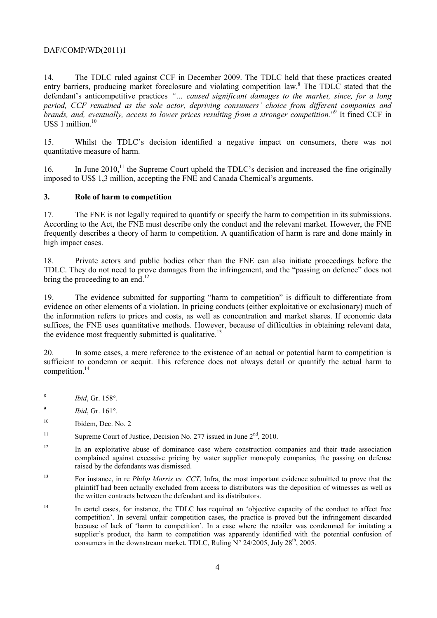14. The TDLC ruled against CCF in December 2009. The TDLC held that these practices created entry barriers, producing market foreclosure and violating competition law.<sup>8</sup> The TDLC stated that the defendant's anticompetitive practices *"… caused significant damages to the market, since, for a long period, CCF remained as the sole actor, depriving consumers' choice from different companies and brands, and, eventually, access to lower prices resulting from a stronger competition.*" 9 It fined CCF in US\$ 1 million. $10$ 

15. Whilst the TDLC's decision identified a negative impact on consumers, there was not quantitative measure of harm.

16. In June 2010,<sup>11</sup> the Supreme Court upheld the TDLC's decision and increased the fine originally imposed to US\$ 1,3 million, accepting the FNE and Canada Chemical's arguments.

#### **3. Role of harm to competition**

17. The FNE is not legally required to quantify or specify the harm to competition in its submissions. According to the Act, the FNE must describe only the conduct and the relevant market. However, the FNE frequently describes a theory of harm to competition. A quantification of harm is rare and done mainly in high impact cases.

18. Private actors and public bodies other than the FNE can also initiate proceedings before the TDLC. They do not need to prove damages from the infringement, and the "passing on defence" does not bring the proceeding to an end.<sup>12</sup>

19. The evidence submitted for supporting "harm to competition" is difficult to differentiate from evidence on other elements of a violation. In pricing conducts (either exploitative or exclusionary) much of the information refers to prices and costs, as well as concentration and market shares. If economic data suffices, the FNE uses quantitative methods. However, because of difficulties in obtaining relevant data, the evidence most frequently submitted is qualitative.<sup>13</sup>

20. In some cases, a mere reference to the existence of an actual or potential harm to competition is sufficient to condemn or acquit. This reference does not always detail or quantify the actual harm to competition.<sup>14</sup>

 $\frac{1}{8}$ *Ibid*, Gr. 158°.

13 For instance, in re *Philip Morris vs. CCT*, Infra, the most important evidence submitted to prove that the plaintiff had been actually excluded from access to distributors was the deposition of witnesses as well as the written contracts between the defendant and its distributors.

<sup>9</sup> *Ibid*, Gr. 161°.

<sup>&</sup>lt;sup>10</sup> Ibidem, Dec. No. 2

<sup>&</sup>lt;sup>11</sup> Supreme Court of Justice, Decision No. 277 issued in June  $2<sup>nd</sup>$ , 2010.

<sup>&</sup>lt;sup>12</sup> In an exploitative abuse of dominance case where construction companies and their trade association complained against excessive pricing by water supplier monopoly companies, the passing on defense raised by the defendants was dismissed.

<sup>&</sup>lt;sup>14</sup> In cartel cases, for instance, the TDLC has required an 'objective capacity of the conduct to affect free competition'. In several unfair competition cases, the practice is proved but the infringement discarded because of lack of 'harm to competition'. In a case where the retailer was condemned for imitating a supplier's product, the harm to competition was apparently identified with the potential confusion of consumers in the downstream market. TDLC, Ruling  $N^{\circ}$  24/2005, July 28<sup>th</sup>, 2005.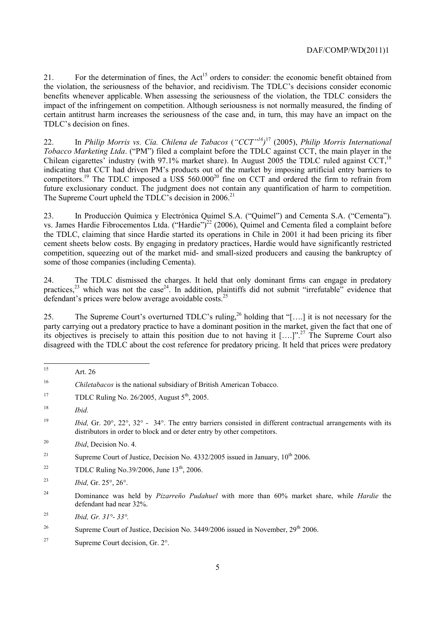21. For the determination of fines, the Act<sup>15</sup> orders to consider: the economic benefit obtained from the violation, the seriousness of the behavior, and recidivism. The TDLC's decisions consider economic benefits whenever applicable. When assessing the seriousness of the violation, the TDLC considers the impact of the infringement on competition. Although seriousness is not normally measured, the finding of certain antitrust harm increases the seriousness of the case and, in turn, this may have an impact on the TDLC's decision on fines.

22. In *Philip Morris vs. Cía. Chilena de Tabacos* (*"CCT"16)* <sup>17</sup> (2005), *Philip Morris International Tobacco Marketing Ltda*. ("PM") filed a complaint before the TDLC against CCT, the main player in the Chilean cigarettes' industry (with 97.1% market share). In August 2005 the TDLC ruled against CCT.<sup>18</sup> indicating that CCT had driven PM's products out of the market by imposing artificial entry barriers to competitors.<sup>19</sup> The TDLC imposed a  $\dot{U}SS 560.000^{20}$  fine on CCT and ordered the firm to refrain from future exclusionary conduct. The judgment does not contain any quantification of harm to competition. The Supreme Court upheld the TDLC's decision in  $2006$ <sup>21</sup>

23. In Producción Química y Electrónica Quimel S.A. ("Quimel") and Cementa S.A. ("Cementa"). vs. James Hardie Fibrocementos Ltda. ("Hardie")<sup>22</sup> (2006), Quimel and Cementa filed a complaint before the TDLC, claiming that since Hardie started its operations in Chile in 2001 it had been pricing its fiber cement sheets below costs. By engaging in predatory practices, Hardie would have significantly restricted competition, squeezing out of the market mid- and small-sized producers and causing the bankruptcy of some of those companies (including Cementa).

24. The TDLC dismissed the charges. It held that only dominant firms can engage in predatory practices, $23$  which was not the case<sup>24</sup>. In addition, plaintiffs did not submit "irrefutable" evidence that defendant's prices were below average avoidable costs.<sup>25</sup>

25. The Supreme Court's overturned TDLC's ruling,<sup>26</sup> holding that "[...] it is not necessary for the party carrying out a predatory practice to have a dominant position in the market, given the fact that one of its objectives is precisely to attain this position due to not having it [….]".27 The Supreme Court also disagreed with the TDLC about the cost reference for predatory pricing. It held that prices were predatory

<sup>15</sup> Art. 26

<sup>16</sup> *Chiletabacos* is the national subsidiary of British American Tobacco.

<sup>&</sup>lt;sup>17</sup> TDLC Ruling No. 26/2005, August  $5<sup>th</sup>$ , 2005.

<sup>18</sup> *Ibid.*

<sup>&</sup>lt;sup>19</sup> *Ibid, Gr.* 20°, 22°, 32° - 34°. The entry barriers consisted in different contractual arrangements with its distributors in order to block and or deter entry by other competitors.

<sup>20</sup> *Ibid*, Decision No. 4.

<sup>&</sup>lt;sup>21</sup> Supreme Court of Justice, Decision No. 4332/2005 issued in January,  $10^{th}$  2006.

<sup>&</sup>lt;sup>22</sup> TDLC Ruling No.39/2006, June  $13^{th}$ , 2006.

<sup>23</sup> *Ibid,* Gr. 25°, 26°.

<sup>24</sup> Dominance was held by *Pizarreño Pudahuel* with more than 60% market share, while *Hardie* the defendant had near 32%.

<sup>25</sup> *Ibid, Gr. 31°- 33°.*

<sup>&</sup>lt;sup>26</sup> Supreme Court of Justice, Decision No. 3449/2006 issued in November,  $29<sup>th</sup> 2006$ .

<sup>27</sup> Supreme Court decision, Gr. 2°.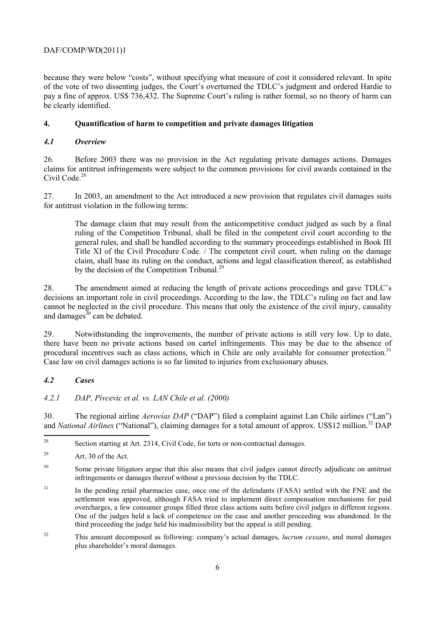because they were below "costs", without specifying what measure of cost it considered relevant. In spite of the vote of two dissenting judges, the Court's overturned the TDLC's judgment and ordered Hardie to pay a fine of approx. US\$ 736,432. The Supreme Court's ruling is rather formal, so no theory of harm can be clearly identified.

# **4. Quantification of harm to competition and private damages litigation**

# *4.1 Overview*

26. Before 2003 there was no provision in the Act regulating private damages actions. Damages claims for antitrust infringements were subject to the common provisions for civil awards contained in the Civil Code.<sup>28</sup>

27. In 2003, an amendment to the Act introduced a new provision that regulates civil damages suits for antitrust violation in the following terms:

The damage claim that may result from the anticompetitive conduct judged as such by a final ruling of the Competition Tribunal, shall be filed in the competent civil court according to the general rules, and shall be handled according to the summary proceedings established in Book III Title XI of the Civil Procedure Code. / The competent civil court, when ruling on the damage claim, shall base its ruling on the conduct, actions and legal classification thereof, as established by the decision of the Competition Tribunal.<sup>29</sup>

28. The amendment aimed at reducing the length of private actions proceedings and gave TDLC's decisions an important role in civil proceedings. According to the law, the TDLC's ruling on fact and law cannot be neglected in the civil procedure. This means that only the existence of the civil injury, causality and damages $30$  can be debated.

29. Notwithstanding the improvements, the number of private actions is still very low. Up to date, there have been no private actions based on cartel infringements. This may be due to the absence of procedural incentives such as class actions, which in Chile are only available for consumer protection.<sup>31</sup> Case law on civil damages actions is so far limited to injuries from exclusionary abuses.

# *4.2 Cases*

# *4.2.1 DAP, Pivcevic et al. vs. LAN Chile et al. (2000)*

30. The regional airline *Aerovías DAP* ("DAP") filed a complaint against Lan Chile airlines ("Lan") and *National Airlines* ("National"), claiming damages for a total amount of approx. US\$12 million.<sup>32</sup> DAP

32 This amount decomposed as following: company's actual damages, *lucrum cessans*, and moral damages plus shareholder's moral damages.

<sup>28</sup> Section starting at Art. 2314, Civil Code, for torts or non-contractual damages.

<sup>29</sup> Art. 30 of the Act.

<sup>&</sup>lt;sup>30</sup> Some private litigators argue that this also means that civil judges cannot directly adjudicate on antitrust infringements or damages thereof without a previous decision by the TDLC.

<sup>&</sup>lt;sup>31</sup> In the pending retail pharmacies case, once one of the defendants (FASA) settled with the FNE and the settlement was approved, although FASA tried to implement direct compensation mechanisms for paid overcharges, a few consumer groups filled three class actions suits before civil judges in different regions. One of the judges held a lack of competence on the case and another proceeding was abandoned. In the third proceeding the judge held his inadmissibility but the appeal is still pending.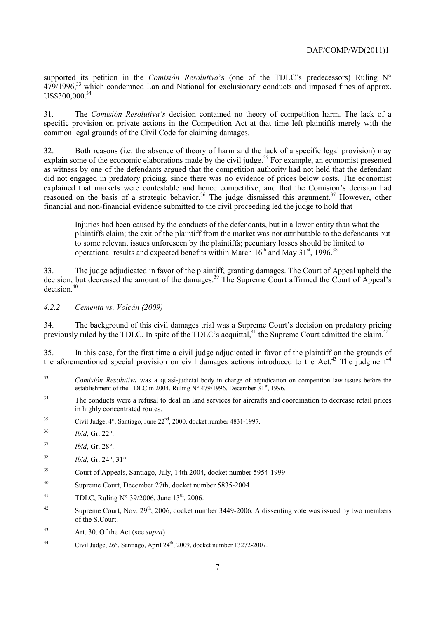supported its petition in the *Comisión Resolutiva*'s (one of the TDLC's predecessors) Ruling N° 479/1996,<sup>33</sup> which condemned Lan and National for exclusionary conducts and imposed fines of approx. US\$300,000<sup>34</sup>

31. The *Comisión Resolutiva's* decision contained no theory of competition harm. The lack of a specific provision on private actions in the Competition Act at that time left plaintiffs merely with the common legal grounds of the Civil Code for claiming damages.

32. Both reasons (i.e. the absence of theory of harm and the lack of a specific legal provision) may explain some of the economic elaborations made by the civil judge.<sup>35</sup> For example, an economist presented as witness by one of the defendants argued that the competition authority had not held that the defendant did not engaged in predatory pricing, since there was no evidence of prices below costs. The economist explained that markets were contestable and hence competitive, and that the Comisión's decision had reasoned on the basis of a strategic behavior.<sup>36</sup> The judge dismissed this argument.<sup>37</sup> However, other financial and non-financial evidence submitted to the civil proceeding led the judge to hold that

Injuries had been caused by the conducts of the defendants, but in a lower entity than what the plaintiffs claim; the exit of the plaintiff from the market was not attributable to the defendants but to some relevant issues unforeseen by the plaintiffs; pecuniary losses should be limited to operational results and expected benefits within March  $16<sup>th</sup>$  and May  $31<sup>st</sup>$ , 1996.<sup>38</sup>

33. The judge adjudicated in favor of the plaintiff, granting damages. The Court of Appeal upheld the decision, but decreased the amount of the damages.<sup>39</sup> The Supreme Court affirmed the Court of Appeal's  $decision<sup>40</sup>$ 

*4.2.2 Cementa vs. Volcán (2009)* 

34. The background of this civil damages trial was a Supreme Court's decision on predatory pricing previously ruled by the TDLC. In spite of the TDLC's acquittal,<sup>41</sup> the Supreme Court admitted the claim.<sup>42</sup>

35. In this case, for the first time a civil judge adjudicated in favor of the plaintiff on the grounds of the aforementioned special provision on civil damages actions introduced to the Act.<sup>43</sup> The judgment<sup>44</sup>

- 35 Civil Judge, 4°, Santiago, June 22nd, 2000, docket number 4831-1997.
- 36 *Ibid*, Gr. 22°.
- 37 *Ibid*, Gr. 28°.
- 38 *Ibid*, Gr. 24°, 31°.
- 39 Court of Appeals, Santiago, July, 14th 2004, docket number 5954-1999
- 40 Supreme Court, December 27th, docket number 5835-2004
- 41 TDLC, Ruling  $N^{\circ}$  39/2006, June 13<sup>th</sup>, 2006.
- <sup>42</sup> Supreme Court, Nov.  $29<sup>th</sup>$ , 2006, docket number 3449-2006. A dissenting vote was issued by two members of the S.Court.
- 43 Art. 30. Of the Act (see *supra*)
- 44 Civil Judge, 26°, Santiago, April 24th, 2009, docket number 13272-2007.

 $33$ 33 *Comisión Resolutiva* was a quasi-judicial body in charge of adjudication on competition law issues before the establishment of the TDLC in 2004. Ruling  $N^{\circ}$  479/1996, December 31<sup>st</sup>, 1996.

<sup>&</sup>lt;sup>34</sup> The conducts were a refusal to deal on land services for aircrafts and coordination to decrease retail prices in highly concentrated routes.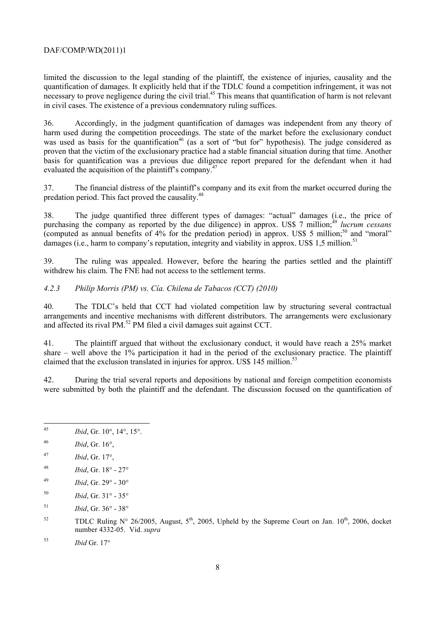limited the discussion to the legal standing of the plaintiff, the existence of injuries, causality and the quantification of damages. It explicitly held that if the TDLC found a competition infringement, it was not necessary to prove negligence during the civil trial.<sup>45</sup> This means that quantification of harm is not relevant in civil cases. The existence of a previous condemnatory ruling suffices.

36. Accordingly, in the judgment quantification of damages was independent from any theory of harm used during the competition proceedings. The state of the market before the exclusionary conduct was used as basis for the quantification<sup>46</sup> (as a sort of "but for" hypothesis). The judge considered as proven that the victim of the exclusionary practice had a stable financial situation during that time. Another basis for quantification was a previous due diligence report prepared for the defendant when it had evaluated the acquisition of the plaintiff's company.<sup>47</sup>

37. The financial distress of the plaintiff's company and its exit from the market occurred during the predation period. This fact proved the causality.<sup>48</sup>

38. The judge quantified three different types of damages: "actual" damages (i.e., the price of purchasing the company as reported by the due diligence) in approx. US\$ 7 million;<sup>49</sup> *lucrum cessans* (computed as annual benefits of  $4\%$  for the predation period) in approx. US\$ 5 million;<sup>50</sup> and "moral" damages (i.e., harm to company's reputation, integrity and viability in approx. US\$ 1,5 million.<sup>51</sup>

39. The ruling was appealed. However, before the hearing the parties settled and the plaintiff withdrew his claim. The FNE had not access to the settlement terms.

#### *4.2.3 Philip Morris (PM) vs. Cía. Chilena de Tabacos (CCT) (2010)*

40. The TDLC's held that CCT had violated competition law by structuring several contractual arrangements and incentive mechanisms with different distributors. The arrangements were exclusionary and affected its rival PM.<sup>52</sup> PM filed a civil damages suit against CCT.

41. The plaintiff argued that without the exclusionary conduct, it would have reach a 25% market share – well above the  $1\%$  participation it had in the period of the exclusionary practice. The plaintiff claimed that the exclusion translated in injuries for approx. US\$ 145 million.<sup>53</sup>

42. During the trial several reports and depositions by national and foreign competition economists were submitted by both the plaintiff and the defendant. The discussion focused on the quantification of

- $45$ 45 *Ibid*, Gr. 10°, 14°, 15°.
- 46 *Ibid*, Gr. 16°,
- 47 *Ibid*, Gr. 17°,
- 48 *Ibid*, Gr. 18° 27°
- 49 *Ibid*, Gr. 29° 30°
- 50 *Ibid*, Gr. 31° 35°
- 51 *Ibid*, Gr. 36° 38°
- <sup>52</sup> TDLC Ruling N° 26/2005, August,  $5<sup>th</sup>$ , 2005, Upheld by the Supreme Court on Jan. 10<sup>th</sup>, 2006, docket number 4332-05. Vid. *supra*
- 53 *Ibid* Gr. 17°